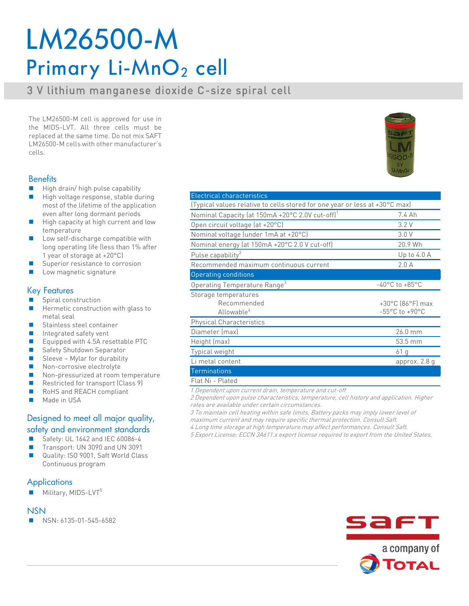# LM26500-M Primary Li-MnO<sub>2</sub> cell

## **3 V lithium manganese dioxide C-size spiral cell**

**The LM26500-M cell is approved for use in**  replaced at the same time. Do not mix SAFT **LM26500-M cells with other manufacturer's LM26500-M cells with other manufacturer's** 

### **Benefits**

- <sup>◼</sup> **High drain/ high pulse capability**
- <sup>◼</sup> **High voltage response, stable during**  even after long dormant periods
- High capacity at high current and low **be a set of the set of the set of the set of the set of the set of the set of the set of the set of the set of the set of the set of the set of the set of the set of the set of the**
- Low self-discharge compatible with **beganized** to the long operating life fless than 1% after **long operating life (less than 1% after**
- Superior resistance to corrosion<br>■ Low magnetic signature
- <sup>◼</sup> **Low magnetic signature**

### Key Features

- **Spiral construction**
- <sup>◼</sup> **Hermetic construction with glass to**
- Stainless steel container
- Integrated safety vent
- <sup>◼</sup> **Equipped with 4.5A resettable PTC**
- Safety Shutdown Separator
- Sleeve Mylar for durability
- **Non-corrosive electrolyte**<br>■ Non-pressurized at room
- Non-pressurized at room temperature<br>■ Postricted for transport (Class <sup>o)</sup>
- **Restricted for transport (Class 9)**<br>■ **RoHS and REACH compliant**
- **■** RoHS and REACH compliant
- <sup>◼</sup> **Made in USA**

## Designed to meet all major quality, safety and environment standards

- Safety: UL 1642 and IEC 60086-4
- <sup>◼</sup> **Transport: UN 3090 and UN 3091**
- <sup>◼</sup> **Quality: ISO 9001, Saft World Class Continuous program**

### **Applications**

■ Military, MIDS-LVT<sup>5</sup>

### **NSN**

<sup>◼</sup> **NSN: 6135-01-545-6582**

| (Typical values relative to cells stored for one year or less at +30 °C max) |                                       |
|------------------------------------------------------------------------------|---------------------------------------|
| Nominal Capacity (at 150mA +20°C 2.0V cut-off) <sup>1</sup>                  | 7.4 Ah                                |
| Open circuit voltage (at +20°C)                                              | 3.2V                                  |
| Nominal voltage (under 1mA at +20°C)                                         | 3.0V                                  |
| Nominal energy (at 150mA +20°C 2.0 V cut-off)                                | 20.9 Wh                               |
| Pulse capability <sup>2</sup>                                                | Up to $4.0 A$                         |
| Recommended maximum continuous current                                       | 2.0A                                  |
| <b>Operating conditions</b>                                                  |                                       |
| Operating Temperature Range <sup>3</sup>                                     | $-40^{\circ}$ C to $+85^{\circ}$ C    |
| Storage temperatures                                                         |                                       |
| Recommended                                                                  | $+30^{\circ}$ C (86 $^{\circ}$ F) max |
| Allowable <sup>4</sup>                                                       | $-55^{\circ}$ C to $+90^{\circ}$ C    |
| <b>Physical Characteristics</b>                                              |                                       |
| Diameter (max)                                                               | 26.0 mm                               |
| Height (max)                                                                 | 53.5 mm                               |
| Typical weight                                                               | 61 g                                  |
| Li metal content                                                             | approx. 2.8 g                         |
| <b>Terminations</b>                                                          |                                       |
| Flat Ni - Plated                                                             |                                       |

**Flat Ni - Plated 1 Dependent upon current drain, temperature and cut-off**

**2 Dependent upon pulse characteristics, temperature, cell history and application. Higher rates are available under certain circumstances.**

**3 To maintain cell heating within safe limits, Battery packs may imply lower level of maximum current and may require specific thermal protection. Consult Saft.**

**4 Long time storage at high temperature may affect performances. Consult Saft. 5 Export License: ECCN 3A611.x export license required to export from the United States.**